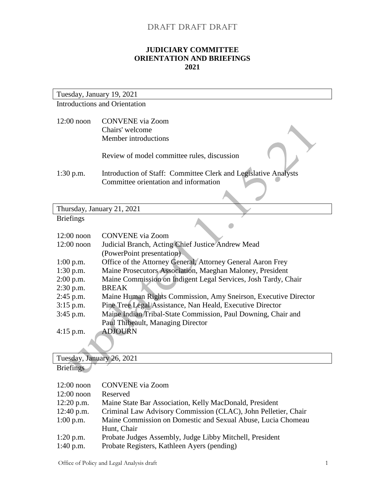## DRAFT DRAFT DRAFT

## **JUDICIARY COMMITTEE ORIENTATION AND BRIEFINGS 2021**

| Tuesday, January 19, 2021                                                                                               |  |  |
|-------------------------------------------------------------------------------------------------------------------------|--|--|
| <b>Introductions and Orientation</b>                                                                                    |  |  |
| $12:00$ noon<br><b>CONVENE</b> via Zoom                                                                                 |  |  |
|                                                                                                                         |  |  |
| Chairs' welcome                                                                                                         |  |  |
| Member introductions                                                                                                    |  |  |
|                                                                                                                         |  |  |
| Review of model committee rules, discussion                                                                             |  |  |
|                                                                                                                         |  |  |
| Introduction of Staff: Committee Clerk and Legislative Analysts<br>$1:30$ p.m.<br>Committee orientation and information |  |  |
|                                                                                                                         |  |  |
|                                                                                                                         |  |  |
|                                                                                                                         |  |  |
| Thursday, January 21, 2021                                                                                              |  |  |
| <b>Briefings</b>                                                                                                        |  |  |
| $12:00$ noon<br><b>CONVENE</b> via Zoom                                                                                 |  |  |
| $12:00$ noon<br>Judicial Branch, Acting Chief Justice Andrew Mead                                                       |  |  |
| (PowerPoint presentation)                                                                                               |  |  |
| Office of the Attorney General, Attorney General Aaron Frey                                                             |  |  |
| $1:00$ p.m.                                                                                                             |  |  |
| Maine Prosecutors Association, Maeghan Maloney, President<br>$1:30$ p.m.                                                |  |  |
| $2:00$ p.m.<br>Maine Commission on Indigent Legal Services, Josh Tardy, Chair                                           |  |  |
| 2:30 p.m.<br><b>BREAK</b>                                                                                               |  |  |
| 2:45 p.m.<br>Maine Human Rights Commission, Amy Sneirson, Executive Director                                            |  |  |
| Pine Tree Legal Assistance, Nan Heald, Executive Director<br>$3:15$ p.m.                                                |  |  |
| Maine Indian Tribal-State Commission, Paul Downing, Chair and<br>3:45 p.m.                                              |  |  |
| Paul Thibeault, Managing Director                                                                                       |  |  |
| <b>ADJOURN</b><br>$4:15$ p.m.                                                                                           |  |  |
|                                                                                                                         |  |  |
| Tuesday, January 26, 2021                                                                                               |  |  |

**Briefings** 

| $12:00$ noon | <b>CONVENE</b> via Zoom                                        |
|--------------|----------------------------------------------------------------|
| $12:00$ noon | Reserved                                                       |
| $12:20$ p.m. | Maine State Bar Association, Kelly MacDonald, President        |
| $12:40$ p.m. | Criminal Law Advisory Commission (CLAC), John Pelletier, Chair |
| $1:00$ p.m.  | Maine Commission on Domestic and Sexual Abuse, Lucia Chomeau   |
|              | Hunt, Chair                                                    |
| $1:20$ p.m.  | Probate Judges Assembly, Judge Libby Mitchell, President       |
| $1:40$ p.m.  | Probate Registers, Kathleen Ayers (pending)                    |